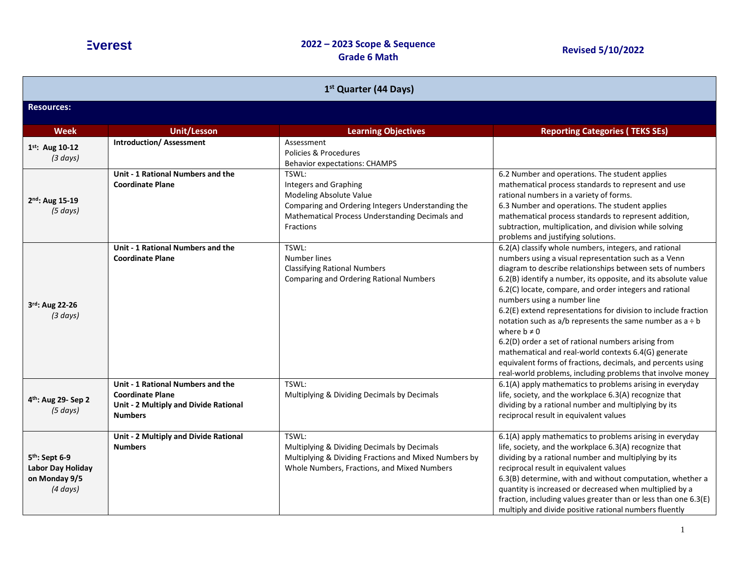| 1 <sup>st</sup> Quarter (44 Days)                                                 |                                                                                                                         |                                                                                                                                                                                       |                                                                                                                                                                                                                                                                                                                                                                                                                                                                                                                                                                                                                                                                                                                                             |
|-----------------------------------------------------------------------------------|-------------------------------------------------------------------------------------------------------------------------|---------------------------------------------------------------------------------------------------------------------------------------------------------------------------------------|---------------------------------------------------------------------------------------------------------------------------------------------------------------------------------------------------------------------------------------------------------------------------------------------------------------------------------------------------------------------------------------------------------------------------------------------------------------------------------------------------------------------------------------------------------------------------------------------------------------------------------------------------------------------------------------------------------------------------------------------|
| <b>Resources:</b>                                                                 |                                                                                                                         |                                                                                                                                                                                       |                                                                                                                                                                                                                                                                                                                                                                                                                                                                                                                                                                                                                                                                                                                                             |
| <b>Week</b>                                                                       | Unit/Lesson                                                                                                             | <b>Learning Objectives</b>                                                                                                                                                            | <b>Reporting Categories (TEKS SEs)</b>                                                                                                                                                                                                                                                                                                                                                                                                                                                                                                                                                                                                                                                                                                      |
| 1st: Aug 10-12<br>(3 days)                                                        | <b>Introduction/ Assessment</b>                                                                                         | Assessment<br>Policies & Procedures<br><b>Behavior expectations: CHAMPS</b>                                                                                                           |                                                                                                                                                                                                                                                                                                                                                                                                                                                                                                                                                                                                                                                                                                                                             |
| 2nd: Aug 15-19<br>(5 days)                                                        | Unit - 1 Rational Numbers and the<br><b>Coordinate Plane</b>                                                            | TSWL:<br><b>Integers and Graphing</b><br>Modeling Absolute Value<br>Comparing and Ordering Integers Understanding the<br>Mathematical Process Understanding Decimals and<br>Fractions | 6.2 Number and operations. The student applies<br>mathematical process standards to represent and use<br>rational numbers in a variety of forms.<br>6.3 Number and operations. The student applies<br>mathematical process standards to represent addition,<br>subtraction, multiplication, and division while solving<br>problems and justifying solutions.                                                                                                                                                                                                                                                                                                                                                                                |
| 3rd: Aug 22-26<br>(3 days)                                                        | Unit - 1 Rational Numbers and the<br><b>Coordinate Plane</b>                                                            | TSWL:<br>Number lines<br><b>Classifying Rational Numbers</b><br><b>Comparing and Ordering Rational Numbers</b>                                                                        | 6.2(A) classify whole numbers, integers, and rational<br>numbers using a visual representation such as a Venn<br>diagram to describe relationships between sets of numbers<br>6.2(B) identify a number, its opposite, and its absolute value<br>6.2(C) locate, compare, and order integers and rational<br>numbers using a number line<br>6.2(E) extend representations for division to include fraction<br>notation such as $a/b$ represents the same number as $a \div b$<br>where $b \neq 0$<br>6.2(D) order a set of rational numbers arising from<br>mathematical and real-world contexts 6.4(G) generate<br>equivalent forms of fractions, decimals, and percents using<br>real-world problems, including problems that involve money |
| 4 <sup>th</sup> : Aug 29- Sep 2<br>(5 days)                                       | Unit - 1 Rational Numbers and the<br><b>Coordinate Plane</b><br>Unit - 2 Multiply and Divide Rational<br><b>Numbers</b> | TSWL:<br>Multiplying & Dividing Decimals by Decimals                                                                                                                                  | 6.1(A) apply mathematics to problems arising in everyday<br>life, society, and the workplace 6.3(A) recognize that<br>dividing by a rational number and multiplying by its<br>reciprocal result in equivalent values                                                                                                                                                                                                                                                                                                                                                                                                                                                                                                                        |
| 5 <sup>th</sup> : Sept 6-9<br>Labor Day Holiday<br>on Monday 9/5<br>$(4 \, days)$ | Unit - 2 Multiply and Divide Rational<br><b>Numbers</b>                                                                 | TSWL:<br>Multiplying & Dividing Decimals by Decimals<br>Multiplying & Dividing Fractions and Mixed Numbers by<br>Whole Numbers, Fractions, and Mixed Numbers                          | 6.1(A) apply mathematics to problems arising in everyday<br>life, society, and the workplace 6.3(A) recognize that<br>dividing by a rational number and multiplying by its<br>reciprocal result in equivalent values<br>6.3(B) determine, with and without computation, whether a<br>quantity is increased or decreased when multiplied by a<br>fraction, including values greater than or less than one 6.3(E)<br>multiply and divide positive rational numbers fluently                                                                                                                                                                                                                                                                   |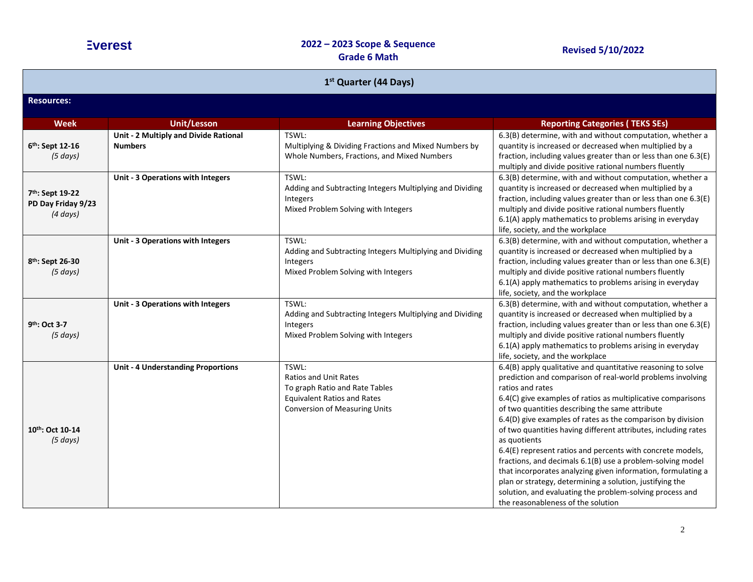| 1 <sup>st</sup> Quarter (44 Days)                      |                                                         |                                                                                                                                                       |                                                                                                                                                                                                                                                                                                                                                                                                                                                                                                                                                                                                                                                                                                                                                                              |
|--------------------------------------------------------|---------------------------------------------------------|-------------------------------------------------------------------------------------------------------------------------------------------------------|------------------------------------------------------------------------------------------------------------------------------------------------------------------------------------------------------------------------------------------------------------------------------------------------------------------------------------------------------------------------------------------------------------------------------------------------------------------------------------------------------------------------------------------------------------------------------------------------------------------------------------------------------------------------------------------------------------------------------------------------------------------------------|
| <b>Resources:</b>                                      |                                                         |                                                                                                                                                       |                                                                                                                                                                                                                                                                                                                                                                                                                                                                                                                                                                                                                                                                                                                                                                              |
| <b>Week</b>                                            | <b>Unit/Lesson</b>                                      | <b>Learning Objectives</b>                                                                                                                            | <b>Reporting Categories (TEKS SEs)</b>                                                                                                                                                                                                                                                                                                                                                                                                                                                                                                                                                                                                                                                                                                                                       |
| 6 <sup>th</sup> : Sept 12-16<br>(5 days)               | Unit - 2 Multiply and Divide Rational<br><b>Numbers</b> | TSWL:<br>Multiplying & Dividing Fractions and Mixed Numbers by<br>Whole Numbers, Fractions, and Mixed Numbers                                         | 6.3(B) determine, with and without computation, whether a<br>quantity is increased or decreased when multiplied by a<br>fraction, including values greater than or less than one 6.3(E)<br>multiply and divide positive rational numbers fluently                                                                                                                                                                                                                                                                                                                                                                                                                                                                                                                            |
| 7th: Sept 19-22<br>PD Day Friday 9/23<br>$(4 \, days)$ | Unit - 3 Operations with Integers                       | TSWL:<br>Adding and Subtracting Integers Multiplying and Dividing<br>Integers<br>Mixed Problem Solving with Integers                                  | 6.3(B) determine, with and without computation, whether a<br>quantity is increased or decreased when multiplied by a<br>fraction, including values greater than or less than one 6.3(E)<br>multiply and divide positive rational numbers fluently<br>6.1(A) apply mathematics to problems arising in everyday<br>life, society, and the workplace                                                                                                                                                                                                                                                                                                                                                                                                                            |
| 8 <sup>th</sup> : Sept 26-30<br>(5 days)               | Unit - 3 Operations with Integers                       | TSWL:<br>Adding and Subtracting Integers Multiplying and Dividing<br>Integers<br>Mixed Problem Solving with Integers                                  | 6.3(B) determine, with and without computation, whether a<br>quantity is increased or decreased when multiplied by a<br>fraction, including values greater than or less than one 6.3(E)<br>multiply and divide positive rational numbers fluently<br>6.1(A) apply mathematics to problems arising in everyday<br>life, society, and the workplace                                                                                                                                                                                                                                                                                                                                                                                                                            |
| 9th: Oct 3-7<br>(5 days)                               | Unit - 3 Operations with Integers                       | TSWL:<br>Adding and Subtracting Integers Multiplying and Dividing<br>Integers<br>Mixed Problem Solving with Integers                                  | 6.3(B) determine, with and without computation, whether a<br>quantity is increased or decreased when multiplied by a<br>fraction, including values greater than or less than one 6.3(E)<br>multiply and divide positive rational numbers fluently<br>6.1(A) apply mathematics to problems arising in everyday<br>life, society, and the workplace                                                                                                                                                                                                                                                                                                                                                                                                                            |
| 10th: Oct 10-14<br>(5 days)                            | <b>Unit - 4 Understanding Proportions</b>               | TSWL:<br><b>Ratios and Unit Rates</b><br>To graph Ratio and Rate Tables<br><b>Equivalent Ratios and Rates</b><br><b>Conversion of Measuring Units</b> | 6.4(B) apply qualitative and quantitative reasoning to solve<br>prediction and comparison of real-world problems involving<br>ratios and rates<br>6.4(C) give examples of ratios as multiplicative comparisons<br>of two quantities describing the same attribute<br>6.4(D) give examples of rates as the comparison by division<br>of two quantities having different attributes, including rates<br>as quotients<br>6.4(E) represent ratios and percents with concrete models,<br>fractions, and decimals 6.1(B) use a problem-solving model<br>that incorporates analyzing given information, formulating a<br>plan or strategy, determining a solution, justifying the<br>solution, and evaluating the problem-solving process and<br>the reasonableness of the solution |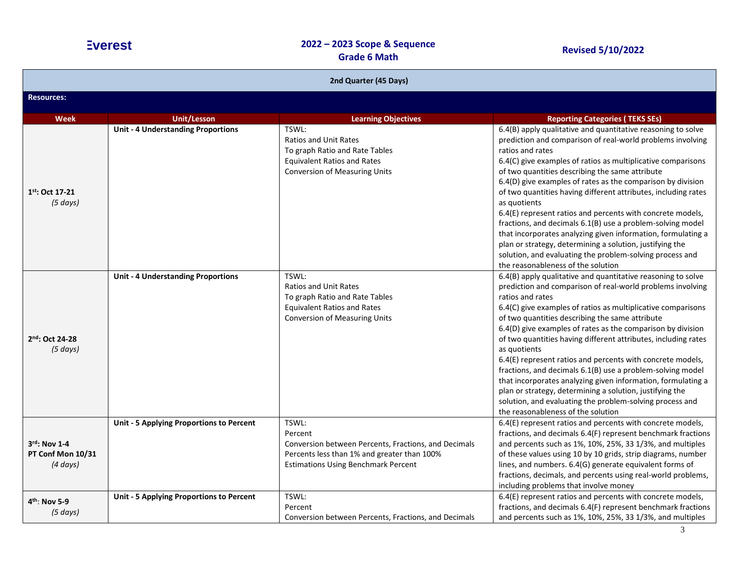| 2nd Quarter (45 Days)                              |                                           |                                                                                                                                                                       |                                                                                                                                                                                                                                                                                                                                                                                                                                                                                                                                                                                                                                                                                                                                                                              |
|----------------------------------------------------|-------------------------------------------|-----------------------------------------------------------------------------------------------------------------------------------------------------------------------|------------------------------------------------------------------------------------------------------------------------------------------------------------------------------------------------------------------------------------------------------------------------------------------------------------------------------------------------------------------------------------------------------------------------------------------------------------------------------------------------------------------------------------------------------------------------------------------------------------------------------------------------------------------------------------------------------------------------------------------------------------------------------|
| <b>Resources:</b>                                  |                                           |                                                                                                                                                                       |                                                                                                                                                                                                                                                                                                                                                                                                                                                                                                                                                                                                                                                                                                                                                                              |
| <b>Week</b>                                        | <b>Unit/Lesson</b>                        | <b>Learning Objectives</b>                                                                                                                                            | <b>Reporting Categories (TEKS SEs)</b>                                                                                                                                                                                                                                                                                                                                                                                                                                                                                                                                                                                                                                                                                                                                       |
| 1st: Oct 17-21<br>(5 days)                         | <b>Unit - 4 Understanding Proportions</b> | TSWL:<br><b>Ratios and Unit Rates</b><br>To graph Ratio and Rate Tables<br><b>Equivalent Ratios and Rates</b><br><b>Conversion of Measuring Units</b>                 | 6.4(B) apply qualitative and quantitative reasoning to solve<br>prediction and comparison of real-world problems involving<br>ratios and rates<br>6.4(C) give examples of ratios as multiplicative comparisons<br>of two quantities describing the same attribute<br>6.4(D) give examples of rates as the comparison by division<br>of two quantities having different attributes, including rates<br>as quotients<br>6.4(E) represent ratios and percents with concrete models,<br>fractions, and decimals 6.1(B) use a problem-solving model<br>that incorporates analyzing given information, formulating a<br>plan or strategy, determining a solution, justifying the<br>solution, and evaluating the problem-solving process and<br>the reasonableness of the solution |
| 2nd: Oct 24-28<br>(5 days)                         | <b>Unit - 4 Understanding Proportions</b> | TSWL:<br><b>Ratios and Unit Rates</b><br>To graph Ratio and Rate Tables<br><b>Equivalent Ratios and Rates</b><br><b>Conversion of Measuring Units</b>                 | 6.4(B) apply qualitative and quantitative reasoning to solve<br>prediction and comparison of real-world problems involving<br>ratios and rates<br>6.4(C) give examples of ratios as multiplicative comparisons<br>of two quantities describing the same attribute<br>6.4(D) give examples of rates as the comparison by division<br>of two quantities having different attributes, including rates<br>as quotients<br>6.4(E) represent ratios and percents with concrete models,<br>fractions, and decimals 6.1(B) use a problem-solving model<br>that incorporates analyzing given information, formulating a<br>plan or strategy, determining a solution, justifying the<br>solution, and evaluating the problem-solving process and<br>the reasonableness of the solution |
| 3rd: Nov 1-4<br>PT Conf Mon 10/31<br>$(4 \, days)$ | Unit - 5 Applying Proportions to Percent  | TSWL:<br>Percent<br>Conversion between Percents, Fractions, and Decimals<br>Percents less than 1% and greater than 100%<br><b>Estimations Using Benchmark Percent</b> | 6.4(E) represent ratios and percents with concrete models,<br>fractions, and decimals 6.4(F) represent benchmark fractions<br>and percents such as 1%, 10%, 25%, 33 1/3%, and multiples<br>of these values using 10 by 10 grids, strip diagrams, number<br>lines, and numbers. 6.4(G) generate equivalent forms of<br>fractions, decimals, and percents using real-world problems,<br>including problems that involve money                                                                                                                                                                                                                                                                                                                                                  |
| 4 <sup>th</sup> : Nov 5-9<br>(5 days)              | Unit - 5 Applying Proportions to Percent  | TSWL:<br>Percent<br>Conversion between Percents, Fractions, and Decimals                                                                                              | 6.4(E) represent ratios and percents with concrete models,<br>fractions, and decimals 6.4(F) represent benchmark fractions<br>and percents such as 1%, 10%, 25%, 33 1/3%, and multiples                                                                                                                                                                                                                                                                                                                                                                                                                                                                                                                                                                                      |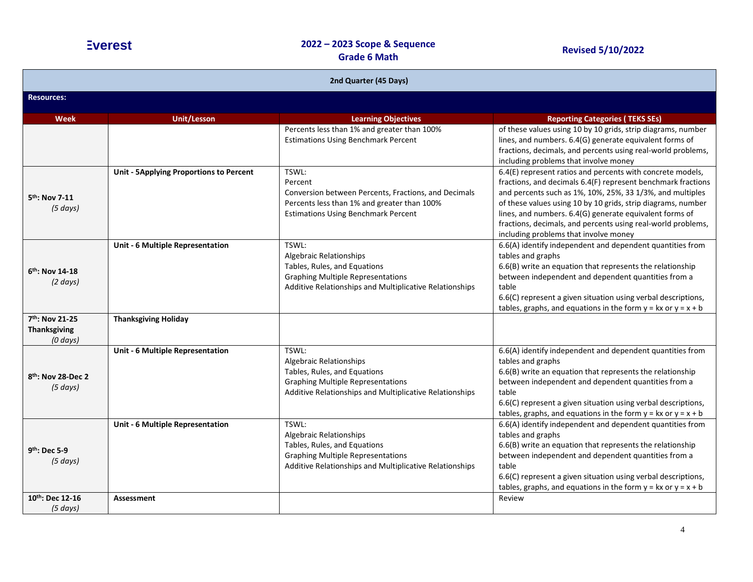| 2nd Quarter (45 Days)                                  |                                                |                                                                                                                                                                                |                                                                                                                                                                                                                                                                                                                                                                                                                             |
|--------------------------------------------------------|------------------------------------------------|--------------------------------------------------------------------------------------------------------------------------------------------------------------------------------|-----------------------------------------------------------------------------------------------------------------------------------------------------------------------------------------------------------------------------------------------------------------------------------------------------------------------------------------------------------------------------------------------------------------------------|
| <b>Resources:</b>                                      |                                                |                                                                                                                                                                                |                                                                                                                                                                                                                                                                                                                                                                                                                             |
| <b>Week</b>                                            | <b>Unit/Lesson</b>                             | <b>Learning Objectives</b>                                                                                                                                                     | <b>Reporting Categories (TEKS SEs)</b>                                                                                                                                                                                                                                                                                                                                                                                      |
|                                                        |                                                | Percents less than 1% and greater than 100%<br><b>Estimations Using Benchmark Percent</b>                                                                                      | of these values using 10 by 10 grids, strip diagrams, number<br>lines, and numbers. 6.4(G) generate equivalent forms of<br>fractions, decimals, and percents using real-world problems,<br>including problems that involve money                                                                                                                                                                                            |
| 5 <sup>th</sup> : Nov 7-11<br>(5 days)                 | <b>Unit - 5Applying Proportions to Percent</b> | TSWL:<br>Percent<br>Conversion between Percents, Fractions, and Decimals<br>Percents less than 1% and greater than 100%<br><b>Estimations Using Benchmark Percent</b>          | 6.4(E) represent ratios and percents with concrete models,<br>fractions, and decimals 6.4(F) represent benchmark fractions<br>and percents such as 1%, 10%, 25%, 33 1/3%, and multiples<br>of these values using 10 by 10 grids, strip diagrams, number<br>lines, and numbers. 6.4(G) generate equivalent forms of<br>fractions, decimals, and percents using real-world problems,<br>including problems that involve money |
| 6 <sup>th</sup> : Nov 14-18<br>$(2 \text{ days})$      | Unit - 6 Multiple Representation               | TSWL:<br><b>Algebraic Relationships</b><br>Tables, Rules, and Equations<br><b>Graphing Multiple Representations</b><br>Additive Relationships and Multiplicative Relationships | 6.6(A) identify independent and dependent quantities from<br>tables and graphs<br>6.6(B) write an equation that represents the relationship<br>between independent and dependent quantities from a<br>table<br>6.6(C) represent a given situation using verbal descriptions,<br>tables, graphs, and equations in the form $y = kx$ or $y = x + b$                                                                           |
| 7th: Nov 21-25<br><b>Thanksgiving</b><br>$(0 \, days)$ | <b>Thanksgiving Holiday</b>                    |                                                                                                                                                                                |                                                                                                                                                                                                                                                                                                                                                                                                                             |
| 8 <sup>th</sup> : Nov 28-Dec 2<br>(5 days)             | Unit - 6 Multiple Representation               | TSWL:<br><b>Algebraic Relationships</b><br>Tables, Rules, and Equations<br><b>Graphing Multiple Representations</b><br>Additive Relationships and Multiplicative Relationships | 6.6(A) identify independent and dependent quantities from<br>tables and graphs<br>6.6(B) write an equation that represents the relationship<br>between independent and dependent quantities from a<br>table<br>6.6(C) represent a given situation using verbal descriptions,<br>tables, graphs, and equations in the form $y = kx$ or $y = x + b$                                                                           |
| 9 <sup>th</sup> : Dec 5-9<br>(5 days)                  | Unit - 6 Multiple Representation               | TSWL:<br><b>Algebraic Relationships</b><br>Tables, Rules, and Equations<br><b>Graphing Multiple Representations</b><br>Additive Relationships and Multiplicative Relationships | 6.6(A) identify independent and dependent quantities from<br>tables and graphs<br>6.6(B) write an equation that represents the relationship<br>between independent and dependent quantities from a<br>table<br>6.6(C) represent a given situation using verbal descriptions,<br>tables, graphs, and equations in the form $y = kx$ or $y = x + b$                                                                           |
| 10th: Dec 12-16<br>$(5 \text{ days})$                  | <b>Assessment</b>                              |                                                                                                                                                                                | Review                                                                                                                                                                                                                                                                                                                                                                                                                      |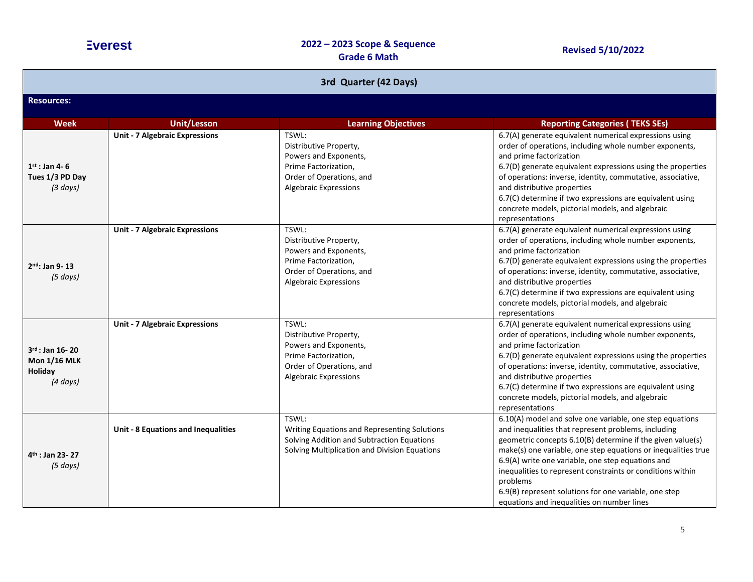| 3rd Quarter (42 Days)                                                   |                                       |                                                                                                                                                      |                                                                                                                                                                                                                                                                                                                                                                                                                                                                                      |
|-------------------------------------------------------------------------|---------------------------------------|------------------------------------------------------------------------------------------------------------------------------------------------------|--------------------------------------------------------------------------------------------------------------------------------------------------------------------------------------------------------------------------------------------------------------------------------------------------------------------------------------------------------------------------------------------------------------------------------------------------------------------------------------|
| <b>Resources:</b>                                                       |                                       |                                                                                                                                                      |                                                                                                                                                                                                                                                                                                                                                                                                                                                                                      |
| <b>Week</b>                                                             | <b>Unit/Lesson</b>                    | <b>Learning Objectives</b>                                                                                                                           | <b>Reporting Categories (TEKS SEs)</b>                                                                                                                                                                                                                                                                                                                                                                                                                                               |
| $1st$ : Jan 4-6<br>Tues 1/3 PD Day<br>(3 days)                          | <b>Unit - 7 Algebraic Expressions</b> | TSWL:<br>Distributive Property,<br>Powers and Exponents,<br>Prime Factorization,<br>Order of Operations, and<br>Algebraic Expressions                | 6.7(A) generate equivalent numerical expressions using<br>order of operations, including whole number exponents,<br>and prime factorization<br>6.7(D) generate equivalent expressions using the properties<br>of operations: inverse, identity, commutative, associative,<br>and distributive properties<br>6.7(C) determine if two expressions are equivalent using<br>concrete models, pictorial models, and algebraic<br>representations                                          |
| $2nd$ : Jan 9-13<br>(5 days)                                            | <b>Unit - 7 Algebraic Expressions</b> | TSWL:<br>Distributive Property,<br>Powers and Exponents,<br>Prime Factorization,<br>Order of Operations, and<br><b>Algebraic Expressions</b>         | 6.7(A) generate equivalent numerical expressions using<br>order of operations, including whole number exponents,<br>and prime factorization<br>6.7(D) generate equivalent expressions using the properties<br>of operations: inverse, identity, commutative, associative,<br>and distributive properties<br>6.7(C) determine if two expressions are equivalent using<br>concrete models, pictorial models, and algebraic<br>representations                                          |
| $3^{rd}$ : Jan 16-20<br><b>Mon 1/16 MLK</b><br>Holiday<br>$(4 \, days)$ | <b>Unit - 7 Algebraic Expressions</b> | TSWL:<br>Distributive Property,<br>Powers and Exponents,<br>Prime Factorization,<br>Order of Operations, and<br>Algebraic Expressions                | 6.7(A) generate equivalent numerical expressions using<br>order of operations, including whole number exponents,<br>and prime factorization<br>6.7(D) generate equivalent expressions using the properties<br>of operations: inverse, identity, commutative, associative,<br>and distributive properties<br>6.7(C) determine if two expressions are equivalent using<br>concrete models, pictorial models, and algebraic<br>representations                                          |
| 4 <sup>th</sup> : Jan 23- 27<br>(5 days)                                | Unit - 8 Equations and Inequalities   | TSWL:<br>Writing Equations and Representing Solutions<br>Solving Addition and Subtraction Equations<br>Solving Multiplication and Division Equations | 6.10(A) model and solve one variable, one step equations<br>and inequalities that represent problems, including<br>geometric concepts 6.10(B) determine if the given value(s)<br>make(s) one variable, one step equations or inequalities true<br>6.9(A) write one variable, one step equations and<br>inequalities to represent constraints or conditions within<br>problems<br>6.9(B) represent solutions for one variable, one step<br>equations and inequalities on number lines |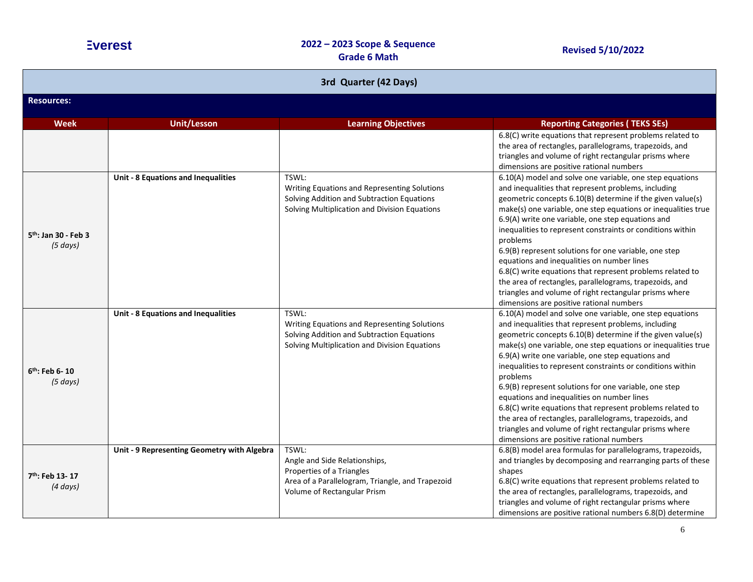| 3rd Quarter (42 Days)                   |                                             |                                                                                                                                                        |                                                                                                                                                                                                                                                                                                                                                                                                                                                                                                                                                                                                                                                                                                                    |
|-----------------------------------------|---------------------------------------------|--------------------------------------------------------------------------------------------------------------------------------------------------------|--------------------------------------------------------------------------------------------------------------------------------------------------------------------------------------------------------------------------------------------------------------------------------------------------------------------------------------------------------------------------------------------------------------------------------------------------------------------------------------------------------------------------------------------------------------------------------------------------------------------------------------------------------------------------------------------------------------------|
| <b>Resources:</b>                       |                                             |                                                                                                                                                        |                                                                                                                                                                                                                                                                                                                                                                                                                                                                                                                                                                                                                                                                                                                    |
| <b>Week</b>                             | <b>Unit/Lesson</b>                          | <b>Learning Objectives</b>                                                                                                                             | <b>Reporting Categories (TEKS SEs)</b>                                                                                                                                                                                                                                                                                                                                                                                                                                                                                                                                                                                                                                                                             |
|                                         |                                             |                                                                                                                                                        | 6.8(C) write equations that represent problems related to<br>the area of rectangles, parallelograms, trapezoids, and<br>triangles and volume of right rectangular prisms where<br>dimensions are positive rational numbers                                                                                                                                                                                                                                                                                                                                                                                                                                                                                         |
| $5th$ : Jan 30 - Feb 3<br>(5 days)      | Unit - 8 Equations and Inequalities         | TSWL:<br>Writing Equations and Representing Solutions<br>Solving Addition and Subtraction Equations<br>Solving Multiplication and Division Equations   | 6.10(A) model and solve one variable, one step equations<br>and inequalities that represent problems, including<br>geometric concepts 6.10(B) determine if the given value(s)<br>make(s) one variable, one step equations or inequalities true<br>6.9(A) write one variable, one step equations and<br>inequalities to represent constraints or conditions within<br>problems<br>6.9(B) represent solutions for one variable, one step<br>equations and inequalities on number lines<br>6.8(C) write equations that represent problems related to<br>the area of rectangles, parallelograms, trapezoids, and<br>triangles and volume of right rectangular prisms where<br>dimensions are positive rational numbers |
| $6th$ : Feb 6-10<br>(5 days)            | <b>Unit - 8 Equations and Inequalities</b>  | TSWL:<br>Writing Equations and Representing Solutions<br>Solving Addition and Subtraction Equations<br>Solving Multiplication and Division Equations   | 6.10(A) model and solve one variable, one step equations<br>and inequalities that represent problems, including<br>geometric concepts 6.10(B) determine if the given value(s)<br>make(s) one variable, one step equations or inequalities true<br>6.9(A) write one variable, one step equations and<br>inequalities to represent constraints or conditions within<br>problems<br>6.9(B) represent solutions for one variable, one step<br>equations and inequalities on number lines<br>6.8(C) write equations that represent problems related to<br>the area of rectangles, parallelograms, trapezoids, and<br>triangles and volume of right rectangular prisms where<br>dimensions are positive rational numbers |
| 7 <sup>th</sup> : Feb 13-17<br>(4 days) | Unit - 9 Representing Geometry with Algebra | TSWL:<br>Angle and Side Relationships,<br>Properties of a Triangles<br>Area of a Parallelogram, Triangle, and Trapezoid<br>Volume of Rectangular Prism | 6.8(B) model area formulas for parallelograms, trapezoids,<br>and triangles by decomposing and rearranging parts of these<br>shapes<br>6.8(C) write equations that represent problems related to<br>the area of rectangles, parallelograms, trapezoids, and<br>triangles and volume of right rectangular prisms where<br>dimensions are positive rational numbers 6.8(D) determine                                                                                                                                                                                                                                                                                                                                 |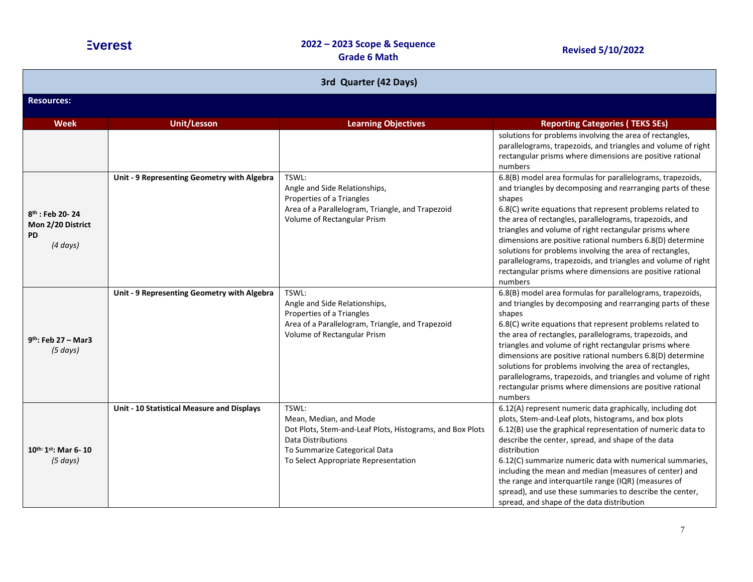| 3rd Quarter (42 Days)                                              |                                             |                                                                                                                                                                                                    |                                                                                                                                                                                                                                                                                                                                                                                                                                                                                                                                                                                         |
|--------------------------------------------------------------------|---------------------------------------------|----------------------------------------------------------------------------------------------------------------------------------------------------------------------------------------------------|-----------------------------------------------------------------------------------------------------------------------------------------------------------------------------------------------------------------------------------------------------------------------------------------------------------------------------------------------------------------------------------------------------------------------------------------------------------------------------------------------------------------------------------------------------------------------------------------|
| <b>Resources:</b>                                                  |                                             |                                                                                                                                                                                                    |                                                                                                                                                                                                                                                                                                                                                                                                                                                                                                                                                                                         |
| <b>Week</b>                                                        | <b>Unit/Lesson</b>                          | <b>Learning Objectives</b>                                                                                                                                                                         | <b>Reporting Categories (TEKS SEs)</b>                                                                                                                                                                                                                                                                                                                                                                                                                                                                                                                                                  |
|                                                                    |                                             |                                                                                                                                                                                                    | solutions for problems involving the area of rectangles,<br>parallelograms, trapezoids, and triangles and volume of right<br>rectangular prisms where dimensions are positive rational<br>numbers                                                                                                                                                                                                                                                                                                                                                                                       |
| 8th : Feb 20-24<br>Mon 2/20 District<br><b>PD</b><br>$(4 \, days)$ | Unit - 9 Representing Geometry with Algebra | TSWL:<br>Angle and Side Relationships,<br>Properties of a Triangles<br>Area of a Parallelogram, Triangle, and Trapezoid<br>Volume of Rectangular Prism                                             | 6.8(B) model area formulas for parallelograms, trapezoids,<br>and triangles by decomposing and rearranging parts of these<br>shapes<br>6.8(C) write equations that represent problems related to<br>the area of rectangles, parallelograms, trapezoids, and<br>triangles and volume of right rectangular prisms where<br>dimensions are positive rational numbers 6.8(D) determine<br>solutions for problems involving the area of rectangles,<br>parallelograms, trapezoids, and triangles and volume of right<br>rectangular prisms where dimensions are positive rational<br>numbers |
| $9th$ : Feb 27 - Mar3<br>$(5 \, days)$                             | Unit - 9 Representing Geometry with Algebra | TSWL:<br>Angle and Side Relationships,<br>Properties of a Triangles<br>Area of a Parallelogram, Triangle, and Trapezoid<br>Volume of Rectangular Prism                                             | 6.8(B) model area formulas for parallelograms, trapezoids,<br>and triangles by decomposing and rearranging parts of these<br>shapes<br>6.8(C) write equations that represent problems related to<br>the area of rectangles, parallelograms, trapezoids, and<br>triangles and volume of right rectangular prisms where<br>dimensions are positive rational numbers 6.8(D) determine<br>solutions for problems involving the area of rectangles,<br>parallelograms, trapezoids, and triangles and volume of right<br>rectangular prisms where dimensions are positive rational<br>numbers |
| $10^{th:}1^{st}$ : Mar 6-10<br>(5 days)                            | Unit - 10 Statistical Measure and Displays  | TSWL:<br>Mean, Median, and Mode<br>Dot Plots, Stem-and-Leaf Plots, Histograms, and Box Plots<br><b>Data Distributions</b><br>To Summarize Categorical Data<br>To Select Appropriate Representation | 6.12(A) represent numeric data graphically, including dot<br>plots, Stem-and-Leaf plots, histograms, and box plots<br>6.12(B) use the graphical representation of numeric data to<br>describe the center, spread, and shape of the data<br>distribution<br>6.12(C) summarize numeric data with numerical summaries,<br>including the mean and median (measures of center) and<br>the range and interquartile range (IQR) (measures of<br>spread), and use these summaries to describe the center,<br>spread, and shape of the data distribution                                         |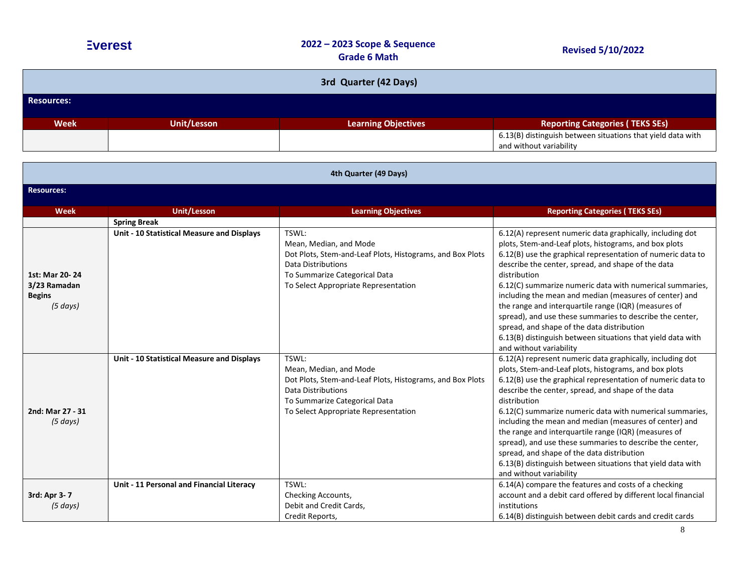| <b>Evere</b> |  |
|--------------|--|
|              |  |

| 3rd Quarter (42 Days) |             |                            |                                                                                        |
|-----------------------|-------------|----------------------------|----------------------------------------------------------------------------------------|
| <b>Resources:</b>     |             |                            |                                                                                        |
| <b>Week</b>           | Unit/Lesson | <b>Learning Objectives</b> | <b>Reporting Categories (TEKS SEs)</b>                                                 |
|                       |             |                            | 6.13(B) distinguish between situations that yield data with<br>and without variability |

| 4th Quarter (49 Days)                                       |                                            |                                                                                                                                                                                                    |                                                                                                                                                                                                                                                                                                                                                                                                                                                                                                                                                                                                                                           |  |
|-------------------------------------------------------------|--------------------------------------------|----------------------------------------------------------------------------------------------------------------------------------------------------------------------------------------------------|-------------------------------------------------------------------------------------------------------------------------------------------------------------------------------------------------------------------------------------------------------------------------------------------------------------------------------------------------------------------------------------------------------------------------------------------------------------------------------------------------------------------------------------------------------------------------------------------------------------------------------------------|--|
| <b>Resources:</b>                                           |                                            |                                                                                                                                                                                                    |                                                                                                                                                                                                                                                                                                                                                                                                                                                                                                                                                                                                                                           |  |
| <b>Week</b>                                                 | <b>Unit/Lesson</b>                         | <b>Learning Objectives</b>                                                                                                                                                                         | <b>Reporting Categories (TEKS SEs)</b>                                                                                                                                                                                                                                                                                                                                                                                                                                                                                                                                                                                                    |  |
|                                                             | <b>Spring Break</b>                        |                                                                                                                                                                                                    |                                                                                                                                                                                                                                                                                                                                                                                                                                                                                                                                                                                                                                           |  |
| 1st: Mar 20-24<br>3/23 Ramadan<br><b>Begins</b><br>(5 days) | Unit - 10 Statistical Measure and Displays | TSWL:<br>Mean, Median, and Mode<br>Dot Plots, Stem-and-Leaf Plots, Histograms, and Box Plots<br><b>Data Distributions</b><br>To Summarize Categorical Data<br>To Select Appropriate Representation | 6.12(A) represent numeric data graphically, including dot<br>plots, Stem-and-Leaf plots, histograms, and box plots<br>6.12(B) use the graphical representation of numeric data to<br>describe the center, spread, and shape of the data<br>distribution<br>6.12(C) summarize numeric data with numerical summaries,<br>including the mean and median (measures of center) and<br>the range and interquartile range (IQR) (measures of<br>spread), and use these summaries to describe the center,<br>spread, and shape of the data distribution<br>6.13(B) distinguish between situations that yield data with<br>and without variability |  |
| 2nd: Mar 27 - 31<br>(5 days)                                | Unit - 10 Statistical Measure and Displays | TSWL:<br>Mean, Median, and Mode<br>Dot Plots, Stem-and-Leaf Plots, Histograms, and Box Plots<br>Data Distributions<br>To Summarize Categorical Data<br>To Select Appropriate Representation        | 6.12(A) represent numeric data graphically, including dot<br>plots, Stem-and-Leaf plots, histograms, and box plots<br>6.12(B) use the graphical representation of numeric data to<br>describe the center, spread, and shape of the data<br>distribution<br>6.12(C) summarize numeric data with numerical summaries,<br>including the mean and median (measures of center) and<br>the range and interquartile range (IQR) (measures of<br>spread), and use these summaries to describe the center,<br>spread, and shape of the data distribution<br>6.13(B) distinguish between situations that yield data with<br>and without variability |  |
| 3rd: Apr 3-7<br>$(5 \, days)$                               | Unit - 11 Personal and Financial Literacy  | TSWL:<br>Checking Accounts,<br>Debit and Credit Cards,<br>Credit Reports,                                                                                                                          | 6.14(A) compare the features and costs of a checking<br>account and a debit card offered by different local financial<br>institutions<br>6.14(B) distinguish between debit cards and credit cards                                                                                                                                                                                                                                                                                                                                                                                                                                         |  |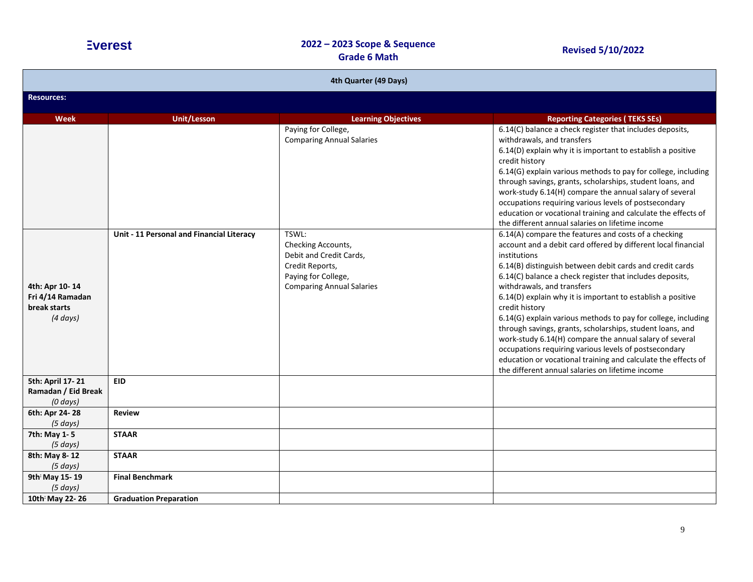| 4th Quarter (49 Days)                                               |                                           |                                                                                                                                      |                                                                                                                                                                                                                                                                                                                                                                                                                                                                                                                                                                                                                                                                                                                                                     |
|---------------------------------------------------------------------|-------------------------------------------|--------------------------------------------------------------------------------------------------------------------------------------|-----------------------------------------------------------------------------------------------------------------------------------------------------------------------------------------------------------------------------------------------------------------------------------------------------------------------------------------------------------------------------------------------------------------------------------------------------------------------------------------------------------------------------------------------------------------------------------------------------------------------------------------------------------------------------------------------------------------------------------------------------|
| <b>Resources:</b>                                                   |                                           |                                                                                                                                      |                                                                                                                                                                                                                                                                                                                                                                                                                                                                                                                                                                                                                                                                                                                                                     |
| <b>Week</b>                                                         | <b>Unit/Lesson</b>                        | <b>Learning Objectives</b>                                                                                                           | <b>Reporting Categories (TEKS SEs)</b>                                                                                                                                                                                                                                                                                                                                                                                                                                                                                                                                                                                                                                                                                                              |
|                                                                     |                                           | Paying for College,<br><b>Comparing Annual Salaries</b>                                                                              | 6.14(C) balance a check register that includes deposits,<br>withdrawals, and transfers<br>6.14(D) explain why it is important to establish a positive<br>credit history<br>6.14(G) explain various methods to pay for college, including<br>through savings, grants, scholarships, student loans, and<br>work-study 6.14(H) compare the annual salary of several<br>occupations requiring various levels of postsecondary<br>education or vocational training and calculate the effects of<br>the different annual salaries on lifetime income                                                                                                                                                                                                      |
| 4th: Apr 10-14<br>Fri 4/14 Ramadan<br>break starts<br>$(4 \, days)$ | Unit - 11 Personal and Financial Literacy | TSWL:<br>Checking Accounts,<br>Debit and Credit Cards,<br>Credit Reports,<br>Paying for College,<br><b>Comparing Annual Salaries</b> | 6.14(A) compare the features and costs of a checking<br>account and a debit card offered by different local financial<br>institutions<br>6.14(B) distinguish between debit cards and credit cards<br>6.14(C) balance a check register that includes deposits,<br>withdrawals, and transfers<br>6.14(D) explain why it is important to establish a positive<br>credit history<br>6.14(G) explain various methods to pay for college, including<br>through savings, grants, scholarships, student loans, and<br>work-study 6.14(H) compare the annual salary of several<br>occupations requiring various levels of postsecondary<br>education or vocational training and calculate the effects of<br>the different annual salaries on lifetime income |
| 5th: April 17-21<br>Ramadan / Eid Break<br>$(0 \, days)$            | <b>EID</b>                                |                                                                                                                                      |                                                                                                                                                                                                                                                                                                                                                                                                                                                                                                                                                                                                                                                                                                                                                     |
| 6th: Apr 24-28<br>(5 days)                                          | <b>Review</b>                             |                                                                                                                                      |                                                                                                                                                                                                                                                                                                                                                                                                                                                                                                                                                                                                                                                                                                                                                     |
| 7th: May 1-5<br>$(5 \, days)$                                       | <b>STAAR</b>                              |                                                                                                                                      |                                                                                                                                                                                                                                                                                                                                                                                                                                                                                                                                                                                                                                                                                                                                                     |
| 8th: May 8-12<br>(5 days)                                           | <b>STAAR</b>                              |                                                                                                                                      |                                                                                                                                                                                                                                                                                                                                                                                                                                                                                                                                                                                                                                                                                                                                                     |
| 9th May 15-19<br>(5 days)                                           | <b>Final Benchmark</b>                    |                                                                                                                                      |                                                                                                                                                                                                                                                                                                                                                                                                                                                                                                                                                                                                                                                                                                                                                     |
| 10th May 22-26                                                      | <b>Graduation Preparation</b>             |                                                                                                                                      |                                                                                                                                                                                                                                                                                                                                                                                                                                                                                                                                                                                                                                                                                                                                                     |